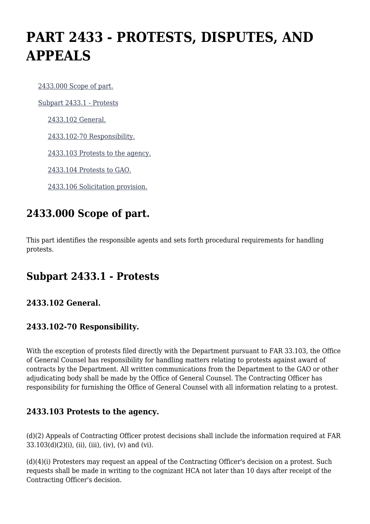# **PART 2433 - PROTESTS, DISPUTES, AND APPEALS**

[2433.000 Scope of part.](https://origin-www.acquisition.gov/%5Brp:link:hudar-part-2433%5D#Section_2433_000_T48_6095227011)

[Subpart 2433.1 - Protests](https://origin-www.acquisition.gov/%5Brp:link:hudar-part-2433%5D#Subpart_2433_1_T48_60952271)

[2433.102 General.](https://origin-www.acquisition.gov/%5Brp:link:hudar-part-2433%5D#Section_2433_102_T48_6095227111)

[2433.102-70 Responsibility.](https://origin-www.acquisition.gov/%5Brp:link:hudar-part-2433%5D#Section_2433_102_70_T48_6095227112)

[2433.103 Protests to the agency.](https://origin-www.acquisition.gov/%5Brp:link:hudar-part-2433%5D#Section_2433_103_T48_6095227113)

[2433.104 Protests to GAO.](https://origin-www.acquisition.gov/%5Brp:link:hudar-part-2433%5D#Section_2433_104_T48_6095227114)

[2433.106 Solicitation provision.](https://origin-www.acquisition.gov/%5Brp:link:hudar-part-2433%5D#Section_2433_106_T48_6095227115)

## **2433.000 Scope of part.**

This part identifies the responsible agents and sets forth procedural requirements for handling protests.

## **Subpart 2433.1 - Protests**

#### **2433.102 General.**

#### **2433.102-70 Responsibility.**

With the exception of protests filed directly with the Department pursuant to FAR 33.103, the Office of General Counsel has responsibility for handling matters relating to protests against award of contracts by the Department. All written communications from the Department to the GAO or other adjudicating body shall be made by the Office of General Counsel. The Contracting Officer has responsibility for furnishing the Office of General Counsel with all information relating to a protest.

#### **2433.103 Protests to the agency.**

(d)(2) Appeals of Contracting Officer protest decisions shall include the information required at FAR  $33.103(d)(2)(i)$ , (ii), (iii), (iv), (v) and (vi).

(d)(4)(i) Protesters may request an appeal of the Contracting Officer's decision on a protest. Such requests shall be made in writing to the cognizant HCA not later than 10 days after receipt of the Contracting Officer's decision.